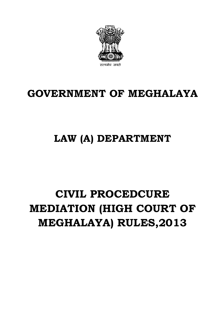# **CIVIL PROCEDCURE MEDIATION (HIGH COURT OF MEGHALAYA) RULES,2013**

# **LAW (A) DEPARTMENT**

# **GOVERNMENT OF MEGHALAYA**

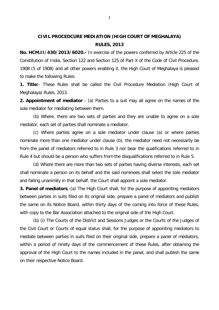# **CIVIL PROCEDCURE MEDIATION (HIGH COURT OF MEGHALAYA) RULES, 2013**

**No. HCM.II/430/2013/6020.-** In exercise of the powers conferred by Article 225 of the Constitution of India, Section 122 and Section 125 of Part X of the Code of Civil Procedure, 1908 (5 of 1908) and all other powers enabling it, the High Court of Meghalaya is pleased to make the following Rules:

**1. Title:**- These Rules shall be called the Civil Procedure Mediation (High Court of Meghalaya) Rules, 2013.

**2. Appointment of mediator** - (a) Parties to a suit may all agree on the names of the sole mediator for mediating between them.

(b) Where, there are two sets of parties and they are unable to agree on a sole mediator, each set of parties shall nominate a mediator.

(c) Where parties agree on a sole mediator under clause (a) or where parties nominate more than one mediator under clause (b), the mediator need not necessarily be from the panel of mediators referred to in Rule 3 nor bear the qualifications referred to in Rule 4 but should be a person who suffers from the disqualifications referred to in Rule 5.

 (d) Where there are more than two sets of parties having diverse interests, each set shall nominate a person on its behalf and the said nominees shall select the sole mediator and failing unanimity in that behalf, the Court shall appoint a sole mediator.

**3. Panel of mediators**,-(a) The High Court shall, for the purpose of appointing mediators between parties in suits filed on its original side, prepare a panel of mediators and publish the same on its Notice Board, within thirty days of the coming into force of these Rules, with copy to the Bar Association attached to the original side of the High Court.

 (b) (i) The Courts of the District and Sessions Judges or the Courts of the Judges of the Civil Court or Courts of equal status shall, for the purpose of appointing mediators to mediate between parties in suits filed on their original side, prepare a panel of mediators, within a period of ninety days of the commencement of these Rules, after obtaining the approval of the High Court to the names included in the panel, and shall publish the same on their respective Notice Board.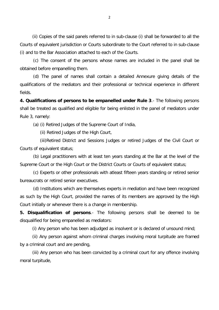(ii) Copies of the said panels referred to in sub-clause (i) shall be forwarded to all the Courts of equivalent jurisdiction or Courts subordinate to the Court referred to in sub-clause (i) and to the Bar Association attached to each of the Courts.

(c) The consent of the persons whose names are included in the panel shall be obtained before empanelling them.

(d) The panel of names shall contain a detailed Annexure giving details of the qualifications of the mediators and their professional or technical experience in different fields.

**4. Qualifications of persons to be empanelled under Rule 3**.- The following persons shall be treated as qualified and eligible for being enlisted in the panel of mediators under Rule 3, namely:

(a) (i) Retired Judges of the Supreme Court of India,

(ii) Retired Judges of the High Court,

 (iii)Retired District and Sessions Judges or retired Judges of the Civil Court or Courts of equivalent status;

(b) Legal practitioners with at least ten years standing at the Bar at the level of the Supreme Court or the High Court or the District Courts or Courts of equivalent status;

(c) Experts or other professionals with atleast fifteen years standing or retired senior bureaucrats or retired senior executives.

(d) Institutions which are themselves experts in mediation and have been recognized as such by the High Court, provided the names of its members are approved by the High Court initially or whenever there is a change in membership.

**5. Disqualification of persons**.- The following persons shall be deemed to be disqualified for being empanelled as mediators:

(i) Any person who has been adjudged as insolvent or is declared of unsound mind;

 (ii) Any person against whom criminal charges involving moral turpitude are framed by a criminal court and are pending,

 (iii) Any person who has been convicted by a criminal court for any offence involving moral turpitude,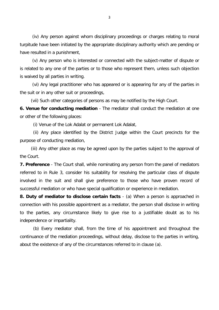(iv) Any person against whom disciplinary proceedings or charges relating to moral turpitude have been initiated by the appropriate disciplinary authority which are pending or have resulted in a punishment,

 (v) Any person who is interested or connected with the subject-matter of dispute or is related to any one of the parties or to those who represent them, unless such objection is waived by all parties in writing.

 (vi) Any legal practitioner who has appeared or is appearing for any of the parties in the suit or in any other suit or proceedings,

(vii) Such other categories of persons as may be notified by the High Court.

**6. Venue for conducting mediation** - The mediator shall conduct the mediation at one or other of the following places:

(i) Venue of the Lok Adalat or permanent Lok Adalat,

(ii) Any place identified by the District Judge within the Court precincts for the purpose of conducting mediation,

(iii) Any other place as may be agreed upon by the parties subject to the approval of the Court.

**7. Preference** - The Court shall, while nominating any person from the panel of mediators referred to in Rule 3, consider his suitability for resolving the particular class of dispute involved in the suit and shall give preference to those who have proven record of successful mediation or who have special qualification or experience in mediation.

**8. Duty of mediator to disclose certain facts** - (a) When a person is approached in connection with his possible appointment as a mediator, the person shall disclose in writing to the parties, any circumstance likely to give rise to a justifiable doubt as to his independence or impartiality.

(b) Every mediator shall, from the time of his appointment and throughout the continuance of the mediation proceedings, without delay, disclose to the parties in writing, about the existence of any of the circumstances referred to in clause (a).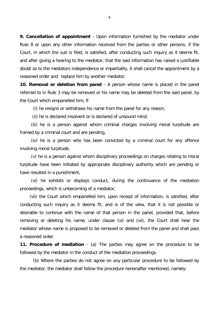**9. Cancellation of appointment** - Upon information furnished by the mediator under Rule 8 or upon any other information received from the parties or other persons, if the Court, in which the suit is filed, is satisfied, after conducting such inquiry as it deems fit, and after giving a hearing to the mediator, that the said information has raised a justifiable doubt as to the mediators independence or impartiality, it shall cancel the appointment by a reasoned order and replace him by another mediator.

**10. Removal or deletion from panel** - A person whose name is placed in the panel referred to in Rule 3 may be removed or his name may be deleted from the said panel, by the Court which empanelled him, if:

(i) he resigns or withdraws his name from the panel for any reason,

(ii) he is declared insolvent or is declared of unsound mind,

 (iii) he is a person against whom criminal charges involving moral turpitude are framed by a criminal court and are pending,

 (iv) he is a person who has been convicted by a criminal court for any offence involving moral turpitude,

 (v) he is a person against whom disciplinary proceedings on charges relating to moral turpitude have been initiated by appropriate disciplinary authority which are pending or have resulted in a punishment,

 (vi) he exhibits or displays conduct, during the continuance of the mediation proceedings, which is unbecoming of a mediator,

(vii) the Court which empanelled him, upon receipt of information, is satisfied, after conducting such inquiry as it deems fit, and is of the view, that it is not possible or desirable to continue with the name of that person in the panel, provided that, before removing or deleting his name, under clause (vi) and (vii), the Court shall hear the mediator whose name is proposed to be removed or deleted from the panel and shall pass a reasoned order.

**11. Procedure of mediation** - (a) The parties may agree on the procedure to be followed by the mediator in the conduct of the mediation proceedings.

(b) Where the parties do not agree on any particular procedure to be followed by the mediator, the mediator shall follow the procedure hereinafter mentioned, namely: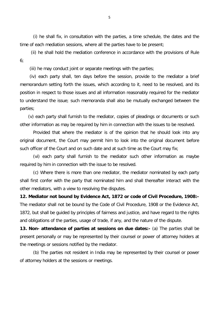(i) he shall fix, in consultation with the parties, a time schedule, the dates and the time of each mediation sessions, where all the parties have to be present;

 (ii) he shall hold the mediation conference in accordance with the provisions of Rule 6;

(iii) he may conduct joint or separate meetings with the parties;

(iv) each party shall, ten days before the session, provide to the mediator a brief memorandum setting forth the issues, which according to it, need to be resolved, and its position in respect to those issues and all information reasonably required for the mediator to understand the issue; such memoranda shall also be mutually exchanged between the parties;

(v) each party shall furnish to the mediator, copies of pleadings or documents or such other information as may be required by him in connection with the issues to be resolved.

Provided that where the mediator is of the opinion that he should look into any original document, the Court may permit him to look into the original document before such officer of the Court and on such date and at such time as the Court may fix;

(vi) each party shall furnish to the mediator such other information as maybe required by him in connection with the issue to be resolved.

(c) Where there is more than one mediator, the mediator nominated by each party shall first confer with the party that nominated him and shall thereafter interact with the other mediators, with a view to resolving the disputes.

**12. Mediator not bound by Evidence Act, 1872 or code of Civil Procedure, 1908:-** The mediator shall not be bound by the Code of Civil Procedure, 1908 or the Evidence Act, 1872, but shall be guided by principles of fairness and justice, and have regard to the rights and obligations of the parties, usage of trade, if any, and the nature of the dispute.

**13. Non- attendance of parties at sessions on due dates:-** (a) The parties shall be present personally or may be represented by their counsel or power of attorney holders at the meetings or sessions notified by the mediator.

(b) The parties not resident in India may be represented by their counsel or power of attorney holders at the sessions or meetings.

5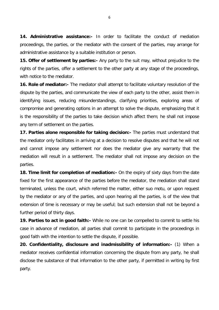**14. Administrative assistance:-** In order to facilitate the conduct of mediation proceedings, the parties, or the mediator with the consent of the parties, may arrange for administrative assistance by a suitable institution or person.

**15. Offer of settlement by parties:-** Any party to the suit may, without prejudice to the rights of the parties, offer a settlement to the other party at any stage of the proceedings, with notice to the mediator.

**16. Role of mediator:-** The mediator shall attempt to facilitate voluntary resolution of the dispute by the parties, and communicate the view of each party to the other, assist them in identifying issues, reducing misunderstandings, clarifying priorities, exploring areas of compromise and generating options in an attempt to solve the dispute, emphasizing that it is the responsibility of the parties to take decision which affect them; he shall not impose any term of settlement on the parties.

**17. Parties alone responsible for taking decision:-** The parties must understand that the mediator only facilitates in arriving at a decision to resolve disputes and that he will not and cannot impose any settlement nor does the mediator give any warranty that the mediation will result in a settlement. The mediator shall not impose any decision on the parties.

**18. Time limit for completion of mediation:-** On the expiry of sixty days from the date fixed for the first appearance of the parties before the mediator, the mediation shall stand terminated, unless the court, which referred the matter, either suo motu, or upon request by the mediator or any of the parties, and upon hearing all the parties, is of the view that extension of time is necessary or may be useful; but such extension shall not be beyond a further period of thirty days.

**19. Parties to act in good faith:-** While no one can be compelled to commit to settle his case in advance of mediation, all parties shall commit to participate in the proceedings in good faith with the intention to settle the dispute, if possible.

**20. Confidentiality, disclosure and inadmissibility of information:-** (1) When a mediator receives confidential information concerning the dispute from any party, he shall disclose the substance of that information to the other party, if permitted in writing by first party.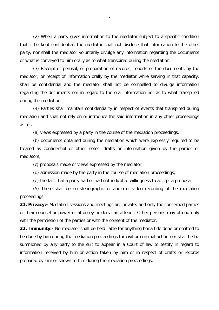(2) When a party gives information to the mediator subject to a specific condition that it be kept confidential, the mediator shall not disclose that information to the other party, nor shall the mediator voluntarily divulge any information regarding the documents or what is conveyed to him orally as to what transpired during the mediation.

(3) Receipt or perusal, or preparation of records, reports or the documents by the mediator, or receipt of information orally by the mediator while serving in that capacity, shall be confidential and the mediator shall not be compelled to divulge information regarding the documents nor in regard to the oral information nor as to what transpired during the mediation.

(4) Parties shall maintain confidentiality in respect of events that transpired during mediation and shall not rely on or introduce the said information in any other proceedings as to :-

(a) views expressed by a party in the course of the mediation proceedings;

(b) documents obtained during the mediation which were expressly required to be treated as confidential or other notes, drafts or information given by the parties or mediators;

(c) proposals made or views expressed by the mediator;

(d) admission made by the party in the course of mediation proceedings;

(e) the fact that a party had or had not indicated willingness to accept a proposal.

(5) There shall be no stenographic or audio or video recording of the mediation proceedings.

**21. Privacy:-** Mediation sessions and meetings are private; and only the concerned parties or their counsel or power of attorney holders can attend . Other persons may attend only with the permission of the parties or with the consent of the mediator.

**22. Immunity:-** No mediator shall be held liable for anything bona fide done or omitted to be done by him during the mediation proceedings for civil or criminal action nor shall he be summoned by any party to the suit to appear in a Court of law to testify in regard to information received by him or action taken by him or in respect of drafts or records prepared by him or shown to him during the mediation proceedings.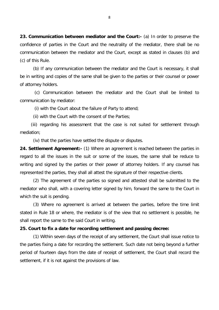**23. Communication between mediator and the Court:-** (a) In order to preserve the confidence of parties in the Court and the neutrality of the mediator, there shall be no communication between the mediator and the Court, except as stated in clauses (b) and (c) of this Rule.

(b) If any communication between the mediator and the Court is necessary, it shall be in writing and copies of the same shall be given to the parties or their counsel or power of attorney holders.

(c) Communication between the mediator and the Court shall be limited to communication by mediator:

(i) with the Court about the failure of Party to attend;

(ii) with the Court with the consent of the Parties;

 (iii) regarding his assessment that the case is not suited for settlement through mediation;

(iv) that the parties have settled the dispute or disputes.

**24. Settlement Agreement:-** (1) Where an agreement is reached between the parties in regard to all the issues in the suit or some of the issues, the same shall be reduce to writing and signed by the parties or their power of attorney holders. If any counsel has represented the parties, they shall all attest the signature of their respective clients.

(2) The agreement of the parties so signed and attested shall be submitted to the mediator who shall, with a covering letter signed by him, forward the same to the Court in which the suit is pending.

(3) Where no agreement is arrived at between the parties, before the time limit stated in Rule 18 or where, the mediator is of the view that no settlement is possible, he shall report the same to the said Court in writing.

#### **25. Court to fix a date for recording settlement and passing decree:**

(1) Within seven days of the receipt of any settlement, the Court shall issue notice to the parties fixing a date for recording the settlement. Such date not being beyond a further period of fourteen days from the date of receipt of settlement, the Court shall record the settlement, if it is not against the provisions of law.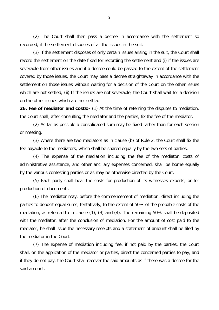(2) The Court shall then pass a decree in accordance with the settlement so recorded, if the settlement disposes of all the issues in the suit.

(3) If the settlement disposes of only certain issues arising in the suit, the Court shall record the settlement on the date fixed for recording the settlement and (i) if the issues are severable from other issues and if a decree could be passed to the extent of the settlement covered by those issues, the Court may pass a decree straightaway in accordance with the settlement on those issues without waiting for a decision of the Court on the other issues which are not settled; (ii) If the issues are not severable, the Court shall wait for a decision on the other issues which are not settled.

**26. Fee of mediator and costs:-** (1) At the time of referring the disputes to mediation, the Court shall, after consulting the mediator and the parties, fix the fee of the mediator.

(2) As far as possible a consolidated sum may be fixed rather than for each session or meeting.

(3) Where there are two mediators as in clause (b) of Rule 2, the Court shall fix the fee payable to the mediators, which shall be shared equally by the two sets of parties.

(4) The expense of the mediation including the fee of the mediator, costs of administrative assistance, and other ancillary expenses concerned, shall be borne equally by the various contesting parties or as may be otherwise directed by the Court.

(5) Each party shall bear the costs for production of its witnesses experts, or for production of documents.

(6) The mediator may, before the commencement of mediation, direct including the parties to deposit equal sums, tentatively, to the extent of 50% of the probable costs of the mediation, as referred to in clause (1), (3) and (4). The remaining 50% shall be deposited with the mediator, after the conclusion of mediation. For the amount of cost paid to the mediator, he shall issue the necessary receipts and a statement of amount shall be filed by the mediator in the Court.

(7) The expense of mediation including fee, if not paid by the parties, the Court shall, on the application of the mediator or parties, direct the concerned parties to pay, and if they do not pay, the Court shall recover the said amounts as if there was a decree for the said amount.